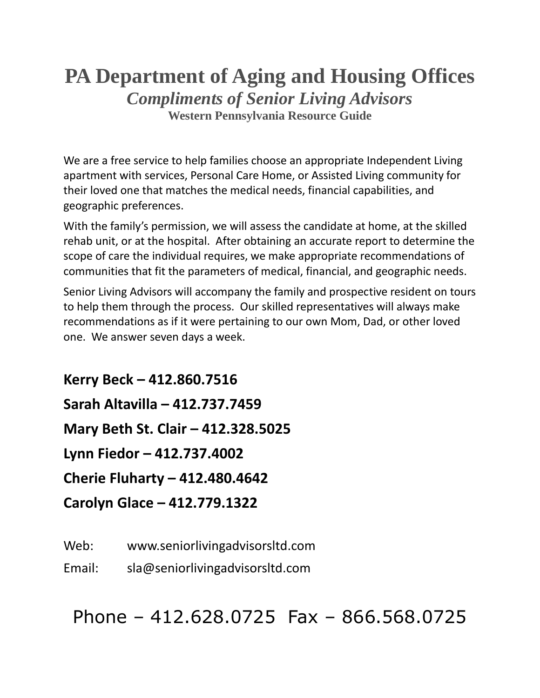### **PA Department of Aging and Housing Offices** *Compliments of Senior Living Advisors* **Western Pennsylvania Resource Guide**

We are a free service to help families choose an appropriate Independent Living apartment with services, Personal Care Home, or Assisted Living community for their loved one that matches the medical needs, financial capabilities, and geographic preferences.

With the family's permission, we will assess the candidate at home, at the skilled rehab unit, or at the hospital. After obtaining an accurate report to determine the scope of care the individual requires, we make appropriate recommendations of communities that fit the parameters of medical, financial, and geographic needs.

Senior Living Advisors will accompany the family and prospective resident on tours to help them through the process. Our skilled representatives will always make recommendations as if it were pertaining to our own Mom, Dad, or other loved one. We answer seven days a week.

**Kerry Beck – 412.860.7516 Sarah Altavilla – 412.737.7459 Mary Beth St. Clair – 412.328.5025 Lynn Fiedor – 412.737.4002 Cherie Fluharty – 412.480.4642 Carolyn Glace – 412.779.1322**

Web: www.seniorlivingadvisorsltd.com

Email: sla@seniorlivingadvisorsltd.com

Phone – 412.628.0725 Fax – 866.568.0725